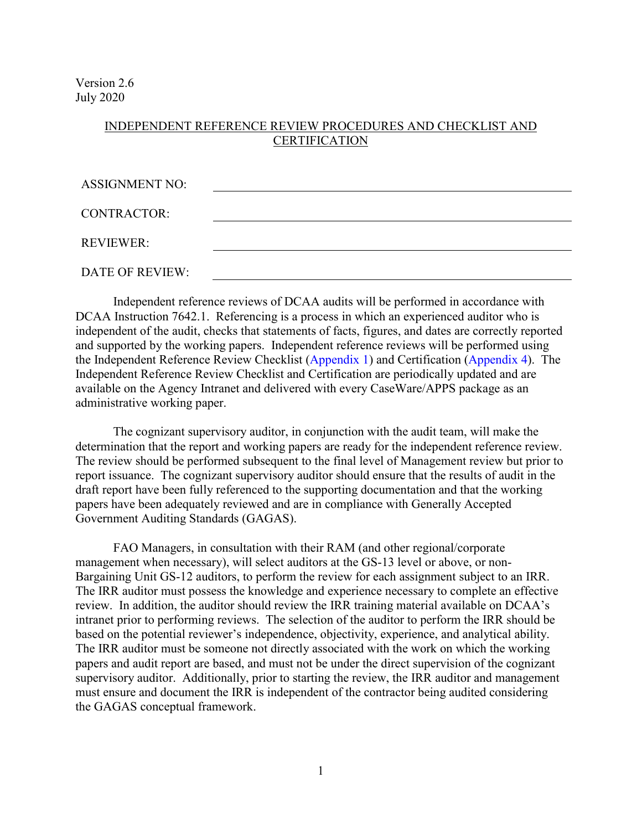Version 2.6 July 2020

#### INDEPENDENT REFERENCE REVIEW PROCEDURES AND CHECKLIST AND **CERTIFICATION**

| <b>ASSIGNMENT NO:</b>  |  |
|------------------------|--|
| <b>CONTRACTOR:</b>     |  |
| <b>REVIEWER:</b>       |  |
| <b>DATE OF REVIEW:</b> |  |

 and supported by the working papers. Independent reference reviews will be performed using Independent reference reviews of DCAA audits will be performed in accordance with DCAA Instruction 7642.1. Referencing is a process in which an experienced auditor who is independent of the audit, checks that statements of facts, figures, and dates are correctly reported the Independent Reference Review Checklist [\(Appendix 1\)](#page-3-0) and Certification [\(Appendix 4\)](#page-6-0). The Independent Reference Review Checklist and Certification are periodically updated and are available on the Agency Intranet and delivered with every CaseWare/APPS package as an administrative working paper.

determination that the report and working papers are ready for the independent reference review. papers have been adequately reviewed and are in compliance with Generally Accepted The cognizant supervisory auditor, in conjunction with the audit team, will make the The review should be performed subsequent to the final level of Management review but prior to report issuance. The cognizant supervisory auditor should ensure that the results of audit in the draft report have been fully referenced to the supporting documentation and that the working Government Auditing Standards (GAGAS).

 management when necessary), will select auditors at the GS-13 level or above, or non- The IRR auditor must be someone not directly associated with the work on which the working supervisory auditor. Additionally, prior to starting the review, the IRR auditor and management FAO Managers, in consultation with their RAM (and other regional/corporate Bargaining Unit GS-12 auditors, to perform the review for each assignment subject to an IRR. The IRR auditor must possess the knowledge and experience necessary to complete an effective review. In addition, the auditor should review the IRR training material available on DCAA's intranet prior to performing reviews. The selection of the auditor to perform the IRR should be based on the potential reviewer's independence, objectivity, experience, and analytical ability. papers and audit report are based, and must not be under the direct supervision of the cognizant must ensure and document the IRR is independent of the contractor being audited considering the GAGAS conceptual framework.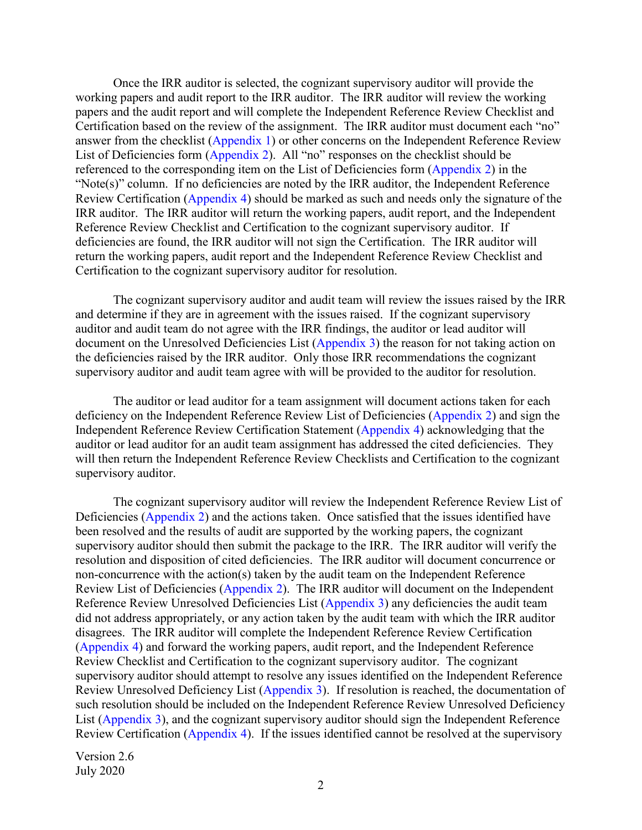working papers and audit report to the IRR auditor. The IRR auditor will review the working List of Deficiencies form [\(Appendix 2\)](#page-4-0). All "no" responses on the checklist should be "Note(s)" column. If no deficiencies are noted by the IRR auditor, the Independent Reference IRR auditor. The IRR auditor will return the working papers, audit report, and the Independent Reference Review Checklist and Certification to the cognizant supervisory auditor. If Once the IRR auditor is selected, the cognizant supervisory auditor will provide the papers and the audit report and will complete the Independent Reference Review Checklist and Certification based on the review of the assignment. The IRR auditor must document each "no" answer from the checklist [\(Appendix 1\)](#page-3-0) or other concerns on the Independent Reference Review referenced to the corresponding item on the List of Deficiencies form [\(Appendix 2\)](#page-4-0) in the Review Certification [\(Appendix 4\)](#page-6-0) should be marked as such and needs only the signature of the deficiencies are found, the IRR auditor will not sign the Certification. The IRR auditor will return the working papers, audit report and the Independent Reference Review Checklist and Certification to the cognizant supervisory auditor for resolution.

 and determine if they are in agreement with the issues raised. If the cognizant supervisory The cognizant supervisory auditor and audit team will review the issues raised by the IRR auditor and audit team do not agree with the IRR findings, the auditor or lead auditor will document on the Unresolved Deficiencies List [\(Appendix 3\)](#page-5-0) the reason for not taking action on the deficiencies raised by the IRR auditor. Only those IRR recommendations the cognizant supervisory auditor and audit team agree with will be provided to the auditor for resolution.

 will then return the Independent Reference Review Checklists and Certification to the cognizant The auditor or lead auditor for a team assignment will document actions taken for each deficiency on the Independent Reference Review List of Deficiencies [\(Appendix 2\)](#page-4-0) and sign the Independent Reference Review Certification Statement [\(Appendix 4\)](#page-6-0) acknowledging that the auditor or lead auditor for an audit team assignment has addressed the cited deficiencies. They supervisory auditor.

 The cognizant supervisory auditor will review the Independent Reference Review List of supervisory auditor should then submit the package to the IRR. The IRR auditor will verify the Review List of Deficiencies [\(Appendix 2\)](#page-4-0). The IRR auditor will document on the Independent did not address appropriately, or any action taken by the audit team with which the IRR auditor Deficiencies [\(Appendix 2\)](#page-4-0) and the actions taken. Once satisfied that the issues identified have been resolved and the results of audit are supported by the working papers, the cognizant resolution and disposition of cited deficiencies. The IRR auditor will document concurrence or non-concurrence with the action(s) taken by the audit team on the Independent Reference Reference Review Unresolved Deficiencies List [\(Appendix 3\)](#page-5-0) any deficiencies the audit team disagrees. The IRR auditor will complete the Independent Reference Review Certification [\(Appendix 4\)](#page-6-0) and forward the working papers, audit report, and the Independent Reference Review Checklist and Certification to the cognizant supervisory auditor. The cognizant supervisory auditor should attempt to resolve any issues identified on the Independent Reference Review Unresolved Deficiency List [\(Appendix 3\)](#page-5-0). If resolution is reached, the documentation of such resolution should be included on the Independent Reference Review Unresolved Deficiency List [\(Appendix 3\)](#page-5-0), and the cognizant supervisory auditor should sign the Independent Reference Review Certification [\(Appendix 4\)](#page-6-0). If the issues identified cannot be resolved at the supervisory

 July 2020 Version 2.6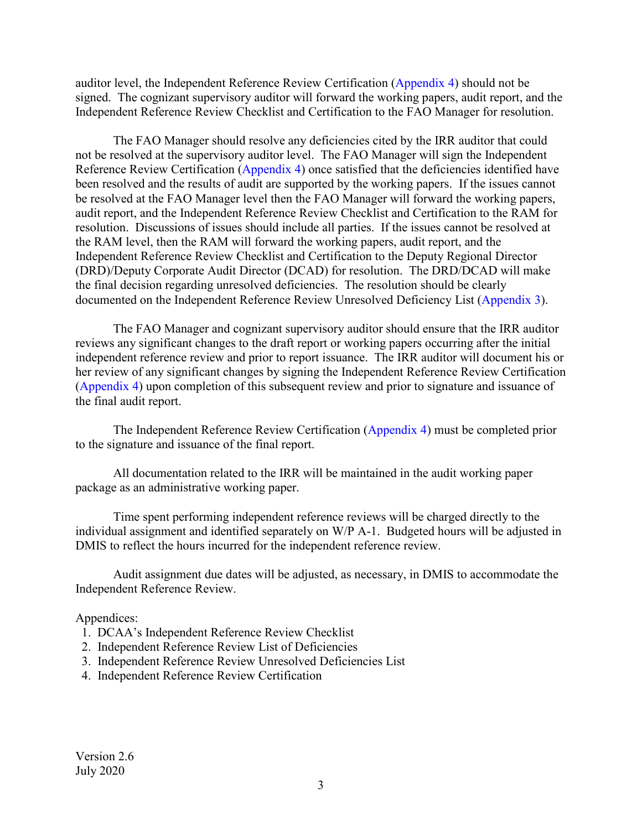auditor level, the Independent Reference Review Certification [\(Appendix 4\)](#page-6-0) should not be signed. The cognizant supervisory auditor will forward the working papers, audit report, and the Independent Reference Review Checklist and Certification to the FAO Manager for resolution.

 not be resolved at the supervisory auditor level. The FAO Manager will sign the Independent be resolved at the FAO Manager level then the FAO Manager will forward the working papers, audit report, and the Independent Reference Review Checklist and Certification to the RAM for the RAM level, then the RAM will forward the working papers, audit report, and the Independent Reference Review Checklist and Certification to the Deputy Regional Director (DRD)/Deputy Corporate Audit Director (DCAD) for resolution. The DRD/DCAD will make documented on the Independent Reference Review Unresolved Deficiency List [\(Appendix 3\)](#page-5-0). The FAO Manager should resolve any deficiencies cited by the IRR auditor that could Reference Review Certification [\(Appendix 4\)](#page-6-0) once satisfied that the deficiencies identified have been resolved and the results of audit are supported by the working papers. If the issues cannot resolution. Discussions of issues should include all parties. If the issues cannot be resolved at the final decision regarding unresolved deficiencies. The resolution should be clearly

 The FAO Manager and cognizant supervisory auditor should ensure that the IRR auditor independent reference review and prior to report issuance. The IRR auditor will document his or reviews any significant changes to the draft report or working papers occurring after the initial her review of any significant changes by signing the Independent Reference Review Certification [\(Appendix 4\)](#page-6-0) upon completion of this subsequent review and prior to signature and issuance of the final audit report.

 to the signature and issuance of the final report. The Independent Reference Review Certification [\(Appendix 4\)](#page-6-0) must be completed prior

All documentation related to the IRR will be maintained in the audit working paper package as an administrative working paper.

Time spent performing independent reference reviews will be charged directly to the individual assignment and identified separately on W/P A-1. Budgeted hours will be adjusted in DMIS to reflect the hours incurred for the independent reference review.

Audit assignment due dates will be adjusted, as necessary, in DMIS to accommodate the Independent Reference Review.

#### Appendices:

- 1. DCAA's Independent Reference Review Checklist
- 2. Independent Reference Review List of Deficiencies
- 3. Independent Reference Review Unresolved Deficiencies List
- 4. Independent Reference Review Certification

 July 2020 Version 2.6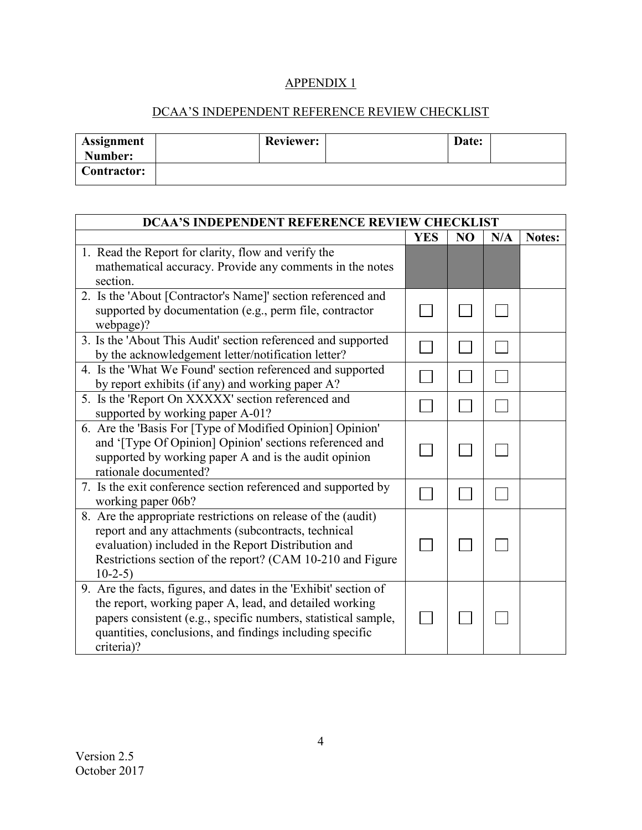#### DCAA'S INDEPENDENT REFERENCE REVIEW CHECKLIST

<span id="page-3-0"></span>

| Assignment<br>Number: | <b>Reviewer:</b> | Date: |  |
|-----------------------|------------------|-------|--|
| <b>Contractor:</b>    |                  |       |  |

| <b>DCAA'S INDEPENDENT REFERENCE REVIEW CHECKLIST</b>             |            |                |     |        |
|------------------------------------------------------------------|------------|----------------|-----|--------|
|                                                                  | <b>YES</b> | N <sub>O</sub> | N/A | Notes: |
| 1. Read the Report for clarity, flow and verify the              |            |                |     |        |
| mathematical accuracy. Provide any comments in the notes         |            |                |     |        |
| section.                                                         |            |                |     |        |
| 2. Is the 'About [Contractor's Name]' section referenced and     |            |                |     |        |
| supported by documentation (e.g., perm file, contractor          |            |                |     |        |
| webpage)?                                                        |            |                |     |        |
| 3. Is the 'About This Audit' section referenced and supported    |            |                |     |        |
| by the acknowledgement letter/notification letter?               |            |                |     |        |
| 4. Is the 'What We Found' section referenced and supported       |            |                |     |        |
| by report exhibits (if any) and working paper A?                 |            |                |     |        |
| 5. Is the 'Report On XXXXX' section referenced and               |            |                |     |        |
| supported by working paper A-01?                                 |            |                |     |        |
| 6. Are the 'Basis For [Type of Modified Opinion] Opinion'        |            |                |     |        |
| and '[Type Of Opinion] Opinion' sections referenced and          |            |                |     |        |
| supported by working paper A and is the audit opinion            |            |                |     |        |
| rationale documented?                                            |            |                |     |        |
| 7. Is the exit conference section referenced and supported by    |            |                |     |        |
| working paper 06b?                                               |            |                |     |        |
| 8. Are the appropriate restrictions on release of the (audit)    |            |                |     |        |
| report and any attachments (subcontracts, technical              |            |                |     |        |
| evaluation) included in the Report Distribution and              |            |                |     |        |
| Restrictions section of the report? (CAM 10-210 and Figure       |            |                |     |        |
| $10-2-5$                                                         |            |                |     |        |
| 9. Are the facts, figures, and dates in the 'Exhibit' section of |            |                |     |        |
| the report, working paper A, lead, and detailed working          |            |                |     |        |
| papers consistent (e.g., specific numbers, statistical sample,   |            |                |     |        |
| quantities, conclusions, and findings including specific         |            |                |     |        |
| criteria)?                                                       |            |                |     |        |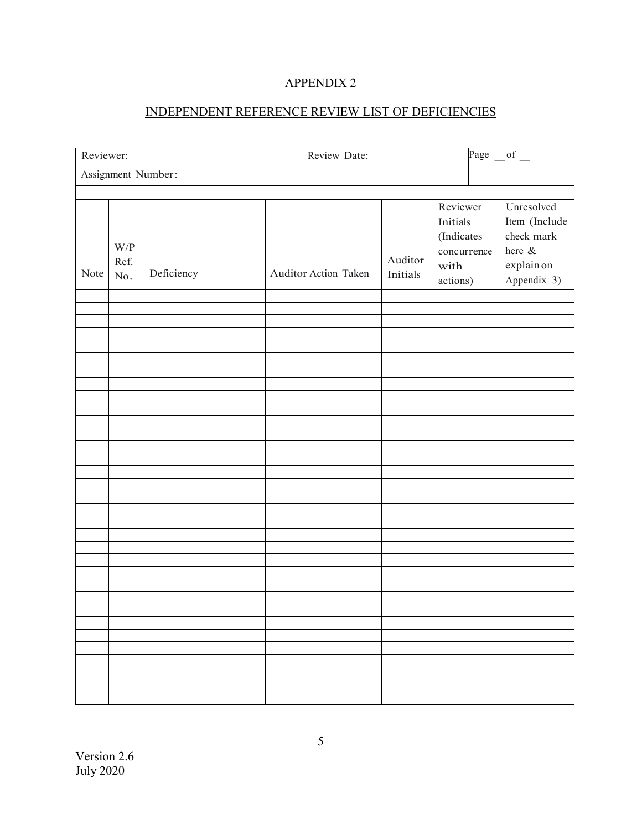### INDEPENDENT REFERENCE REVIEW LIST OF DEFICIENCIES

<span id="page-4-0"></span>

| Reviewer:          |                    |            | Review Date: |                      |                     | Page $of$                                                                    |                                                                                  |
|--------------------|--------------------|------------|--------------|----------------------|---------------------|------------------------------------------------------------------------------|----------------------------------------------------------------------------------|
| Assignment Number: |                    |            |              |                      |                     |                                                                              |                                                                                  |
|                    |                    |            |              |                      |                     |                                                                              |                                                                                  |
| Note               | W/P<br>Ref.<br>No. | Deficiency |              | Auditor Action Taken | Auditor<br>Initials | Reviewer<br><b>Initials</b><br>(Indicates<br>concurrence<br>with<br>actions) | Unresolved<br>Item (Include<br>check mark<br>here &<br>explain on<br>Appendix 3) |
|                    |                    |            |              |                      |                     |                                                                              |                                                                                  |
|                    |                    |            |              |                      |                     |                                                                              |                                                                                  |
|                    |                    |            |              |                      |                     |                                                                              |                                                                                  |
|                    |                    |            |              |                      |                     |                                                                              |                                                                                  |
|                    |                    |            |              |                      |                     |                                                                              |                                                                                  |
|                    |                    |            |              |                      |                     |                                                                              |                                                                                  |
|                    |                    |            |              |                      |                     |                                                                              |                                                                                  |
|                    |                    |            |              |                      |                     |                                                                              |                                                                                  |
|                    |                    |            |              |                      |                     |                                                                              |                                                                                  |
|                    |                    |            |              |                      |                     |                                                                              |                                                                                  |
|                    |                    |            |              |                      |                     |                                                                              |                                                                                  |
|                    |                    |            |              |                      |                     |                                                                              |                                                                                  |
|                    |                    |            |              |                      |                     |                                                                              |                                                                                  |
|                    |                    |            |              |                      |                     |                                                                              |                                                                                  |
|                    |                    |            |              |                      |                     |                                                                              |                                                                                  |
|                    |                    |            |              |                      |                     |                                                                              |                                                                                  |
|                    |                    |            |              |                      |                     |                                                                              |                                                                                  |
|                    |                    |            |              |                      |                     |                                                                              |                                                                                  |
|                    |                    |            |              |                      |                     |                                                                              |                                                                                  |
|                    |                    |            |              |                      |                     |                                                                              |                                                                                  |
|                    |                    |            |              |                      |                     |                                                                              |                                                                                  |
|                    |                    |            |              |                      |                     |                                                                              |                                                                                  |
|                    |                    |            |              |                      |                     |                                                                              |                                                                                  |
|                    |                    |            |              |                      |                     |                                                                              |                                                                                  |
|                    |                    |            |              |                      |                     |                                                                              |                                                                                  |
|                    |                    |            |              |                      |                     |                                                                              |                                                                                  |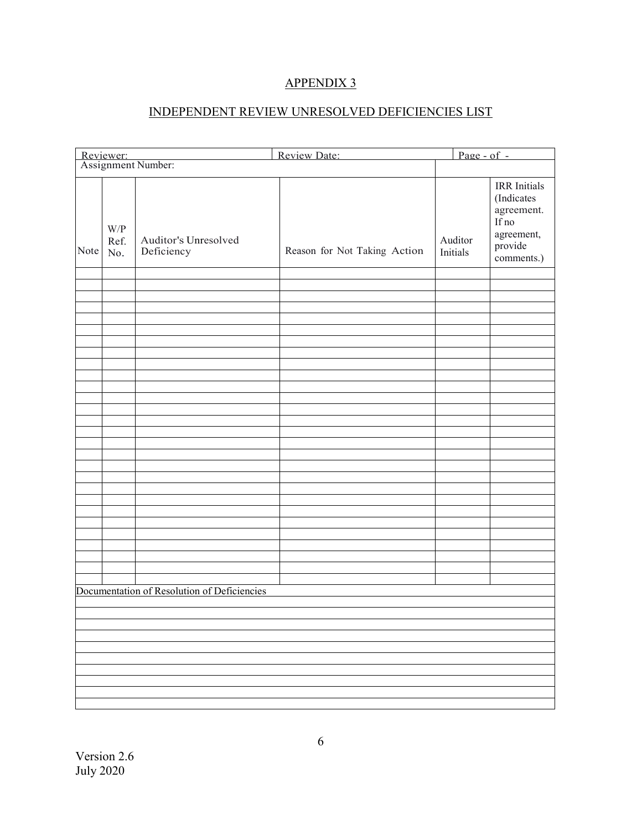# INDEPENDENT REVIEW UNRESOLVED DEFICIENCIES LIST

<span id="page-5-0"></span>

|                                 |                                                                            |                                             | Review Date:                 | $\overline{Page - of -}$ |                                                                                                 |  |
|---------------------------------|----------------------------------------------------------------------------|---------------------------------------------|------------------------------|--------------------------|-------------------------------------------------------------------------------------------------|--|
| Reviewer:<br>Assignment Number: |                                                                            |                                             |                              |                          |                                                                                                 |  |
| Note                            | $\ensuremath{\text{W}}\xspace/\ensuremath{\text{P}}\xspace$<br>Ref.<br>No. | Auditor's Unresolved<br>Deficiency          | Reason for Not Taking Action | Auditor<br>Initials      | <b>IRR</b> Initials<br>(Indicates<br>agreement.<br>If no<br>agreement,<br>provide<br>comments.) |  |
|                                 |                                                                            |                                             |                              |                          |                                                                                                 |  |
|                                 |                                                                            |                                             |                              |                          |                                                                                                 |  |
|                                 |                                                                            |                                             |                              |                          |                                                                                                 |  |
|                                 |                                                                            |                                             |                              |                          |                                                                                                 |  |
|                                 |                                                                            |                                             |                              |                          |                                                                                                 |  |
|                                 |                                                                            |                                             |                              |                          |                                                                                                 |  |
|                                 |                                                                            |                                             |                              |                          |                                                                                                 |  |
|                                 |                                                                            |                                             |                              |                          |                                                                                                 |  |
|                                 |                                                                            |                                             |                              |                          |                                                                                                 |  |
|                                 |                                                                            |                                             |                              |                          |                                                                                                 |  |
|                                 |                                                                            |                                             |                              |                          |                                                                                                 |  |
|                                 |                                                                            |                                             |                              |                          |                                                                                                 |  |
|                                 |                                                                            |                                             |                              |                          |                                                                                                 |  |
|                                 |                                                                            |                                             |                              |                          |                                                                                                 |  |
|                                 |                                                                            |                                             |                              |                          |                                                                                                 |  |
|                                 |                                                                            |                                             |                              |                          |                                                                                                 |  |
|                                 |                                                                            |                                             |                              |                          |                                                                                                 |  |
|                                 |                                                                            |                                             |                              |                          |                                                                                                 |  |
|                                 |                                                                            |                                             |                              |                          |                                                                                                 |  |
|                                 |                                                                            |                                             |                              |                          |                                                                                                 |  |
|                                 |                                                                            |                                             |                              |                          |                                                                                                 |  |
|                                 |                                                                            |                                             |                              |                          |                                                                                                 |  |
|                                 |                                                                            | Documentation of Resolution of Deficiencies |                              |                          |                                                                                                 |  |
|                                 |                                                                            |                                             |                              |                          |                                                                                                 |  |
|                                 |                                                                            |                                             |                              |                          |                                                                                                 |  |
|                                 |                                                                            |                                             |                              |                          |                                                                                                 |  |
|                                 |                                                                            |                                             |                              |                          |                                                                                                 |  |
|                                 |                                                                            |                                             |                              |                          |                                                                                                 |  |
|                                 |                                                                            |                                             |                              |                          |                                                                                                 |  |
|                                 |                                                                            |                                             |                              |                          |                                                                                                 |  |
|                                 |                                                                            |                                             |                              |                          |                                                                                                 |  |
|                                 |                                                                            |                                             |                              |                          |                                                                                                 |  |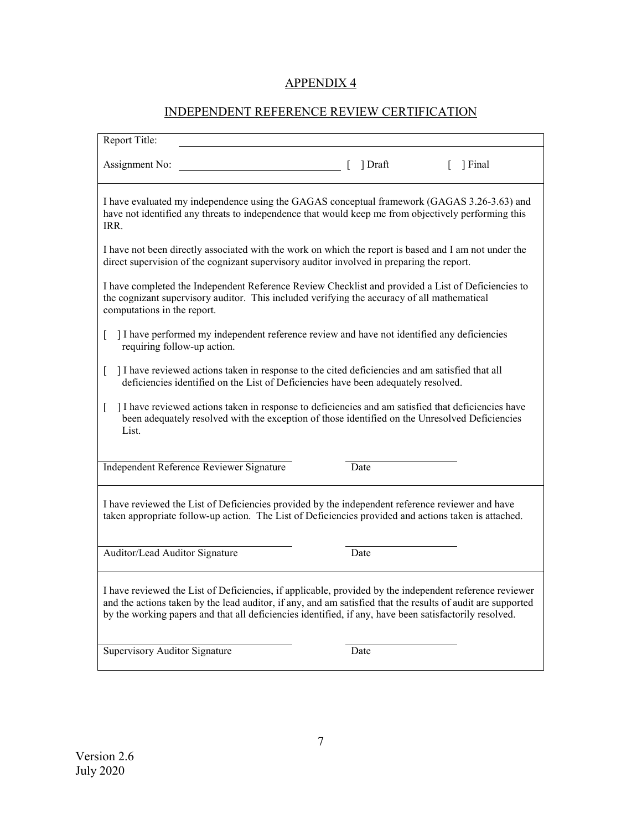# INDEPENDENT REFERENCE REVIEW CERTIFICATION

<span id="page-6-0"></span>

| Report Title:                                                                                                                                                                                                                                                                                                                    |         |                  |  |  |  |  |
|----------------------------------------------------------------------------------------------------------------------------------------------------------------------------------------------------------------------------------------------------------------------------------------------------------------------------------|---------|------------------|--|--|--|--|
| Assignment No:                                                                                                                                                                                                                                                                                                                   | ] Draft | $\lceil$ ] Final |  |  |  |  |
| I have evaluated my independence using the GAGAS conceptual framework (GAGAS 3.26-3.63) and<br>have not identified any threats to independence that would keep me from objectively performing this<br>IRR.                                                                                                                       |         |                  |  |  |  |  |
| I have not been directly associated with the work on which the report is based and I am not under the<br>direct supervision of the cognizant supervisory auditor involved in preparing the report.                                                                                                                               |         |                  |  |  |  |  |
| I have completed the Independent Reference Review Checklist and provided a List of Deficiencies to<br>the cognizant supervisory auditor. This included verifying the accuracy of all mathematical<br>computations in the report.                                                                                                 |         |                  |  |  |  |  |
| I have performed my independent reference review and have not identified any deficiencies<br>L<br>requiring follow-up action.                                                                                                                                                                                                    |         |                  |  |  |  |  |
| I have reviewed actions taken in response to the cited deficiencies and am satisfied that all<br>L<br>deficiencies identified on the List of Deficiencies have been adequately resolved.                                                                                                                                         |         |                  |  |  |  |  |
| I have reviewed actions taken in response to deficiencies and am satisfied that deficiencies have<br>L<br>been adequately resolved with the exception of those identified on the Unresolved Deficiencies<br>List.                                                                                                                |         |                  |  |  |  |  |
| Independent Reference Reviewer Signature                                                                                                                                                                                                                                                                                         | Date    |                  |  |  |  |  |
| I have reviewed the List of Deficiencies provided by the independent reference reviewer and have<br>taken appropriate follow-up action. The List of Deficiencies provided and actions taken is attached.                                                                                                                         |         |                  |  |  |  |  |
| Auditor/Lead Auditor Signature                                                                                                                                                                                                                                                                                                   | Date    |                  |  |  |  |  |
| I have reviewed the List of Deficiencies, if applicable, provided by the independent reference reviewer<br>and the actions taken by the lead auditor, if any, and am satisfied that the results of audit are supported<br>by the working papers and that all deficiencies identified, if any, have been satisfactorily resolved. |         |                  |  |  |  |  |
| Supervisory Auditor Signature                                                                                                                                                                                                                                                                                                    | Date    |                  |  |  |  |  |